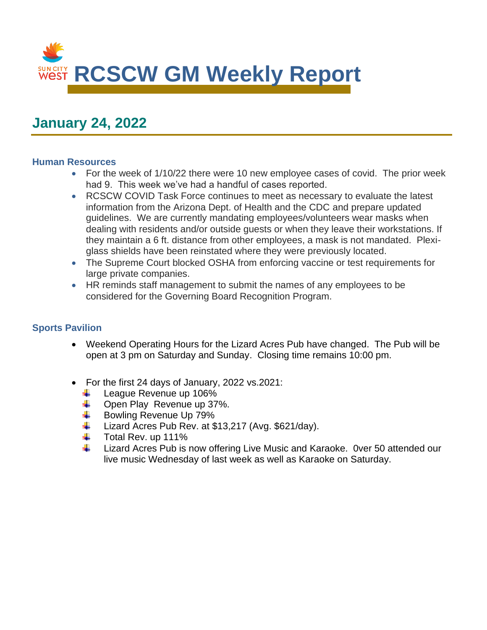

# **January 24, 2022**

#### **Human Resources**

- For the week of 1/10/22 there were 10 new employee cases of covid. The prior week had 9. This week we've had a handful of cases reported.
- RCSCW COVID Task Force continues to meet as necessary to evaluate the latest information from the Arizona Dept. of Health and the CDC and prepare updated guidelines. We are currently mandating employees/volunteers wear masks when dealing with residents and/or outside guests or when they leave their workstations. If they maintain a 6 ft. distance from other employees, a mask is not mandated. Plexiglass shields have been reinstated where they were previously located.
- The Supreme Court blocked OSHA from enforcing vaccine or test requirements for large private companies.
- HR reminds staff management to submit the names of any employees to be considered for the Governing Board Recognition Program.

## **Sports Pavilion**

- Weekend Operating Hours for the Lizard Acres Pub have changed. The Pub will be open at 3 pm on Saturday and Sunday. Closing time remains 10:00 pm.
- For the first 24 days of January, 2022 vs.2021:
	- League Revenue up 106%
	- Open Play Revenue up 37%.
	- Bowling Revenue Up 79%
	- Lizard Acres Pub Rev. at \$13,217 (Avg. \$621/day).
	- Total Rev. up 111%
	- Lizard Acres Pub is now offering Live Music and Karaoke. 0ver 50 attended our live music Wednesday of last week as well as Karaoke on Saturday.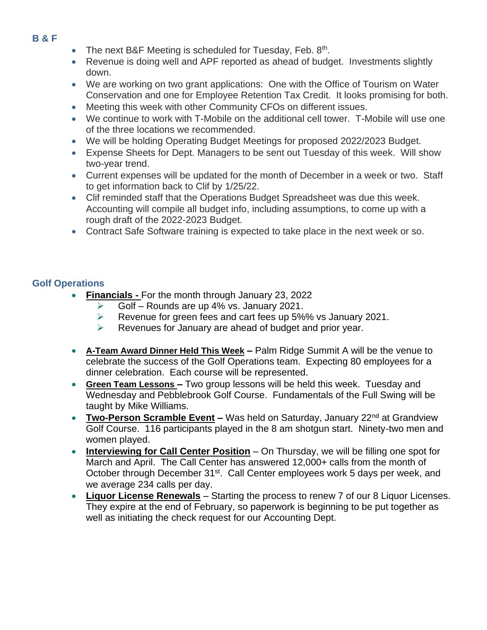## **B & F**

- The next B&F Meeting is scheduled for Tuesday, Feb. 8th.
- Revenue is doing well and APF reported as ahead of budget. Investments slightly down.
- We are working on two grant applications: One with the Office of Tourism on Water Conservation and one for Employee Retention Tax Credit. It looks promising for both.
- Meeting this week with other Community CFOs on different issues.
- We continue to work with T-Mobile on the additional cell tower. T-Mobile will use one of the three locations we recommended.
- We will be holding Operating Budget Meetings for proposed 2022/2023 Budget.
- Expense Sheets for Dept. Managers to be sent out Tuesday of this week. Will show two-year trend.
- Current expenses will be updated for the month of December in a week or two. Staff to get information back to Clif by 1/25/22.
- Clif reminded staff that the Operations Budget Spreadsheet was due this week. Accounting will compile all budget info, including assumptions, to come up with a rough draft of the 2022-2023 Budget.
- Contract Safe Software training is expected to take place in the next week or so.

## **Golf Operations**

- **Financials -** For the month through January 23, 2022
	- Golf Rounds are up 4% vs. January 2021.
	- ➢ Revenue for green fees and cart fees up 5%% vs January 2021.
	- ➢ Revenues for January are ahead of budget and prior year.
- **A-Team Award Dinner Held This Week –** Palm Ridge Summit A will be the venue to celebrate the success of the Golf Operations team. Expecting 80 employees for a dinner celebration. Each course will be represented.
- **Green Team Lessons –** Two group lessons will be held this week. Tuesday and Wednesday and Pebblebrook Golf Course. Fundamentals of the Full Swing will be taught by Mike Williams.
- **Two-Person Scramble Event** Was held on Saturday, January 22<sup>nd</sup> at Grandview Golf Course. 116 participants played in the 8 am shotgun start. Ninety-two men and women played.
- **Interviewing for Call Center Position** On Thursday, we will be filling one spot for March and April. The Call Center has answered 12,000+ calls from the month of October through December 31<sup>st</sup>. Call Center employees work 5 days per week, and we average 234 calls per day.
- **Liquor License Renewals** Starting the process to renew 7 of our 8 Liquor Licenses. They expire at the end of February, so paperwork is beginning to be put together as well as initiating the check request for our Accounting Dept.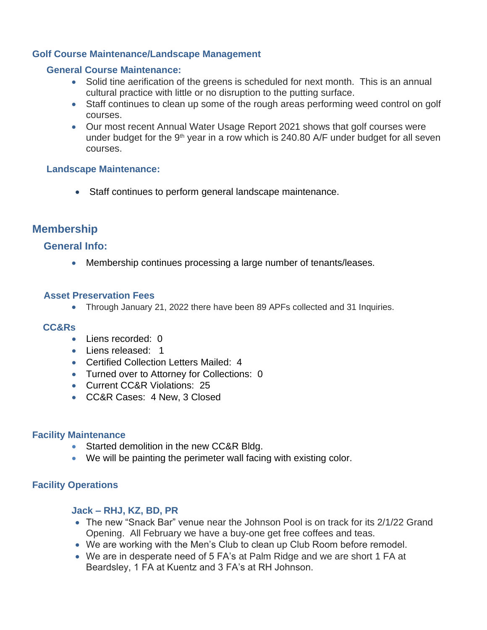## **Golf Course Maintenance/Landscape Management**

#### **General Course Maintenance:**

- Solid tine aerification of the greens is scheduled for next month. This is an annual cultural practice with little or no disruption to the putting surface.
- Staff continues to clean up some of the rough areas performing weed control on golf courses.
- Our most recent Annual Water Usage Report 2021 shows that golf courses were under budget for the  $9<sup>th</sup>$  year in a row which is 240.80 A/F under budget for all seven courses.

## **Landscape Maintenance:**

• Staff continues to perform general landscape maintenance.

# **Membership**

## **General Info:**

• Membership continues processing a large number of tenants/leases.

## **Asset Preservation Fees**

• Through January 21, 2022 there have been 89 APFs collected and 31 Inquiries.

## **CC&Rs**

- Liens recorded: 0
- Liens released: 1
- Certified Collection Letters Mailed: 4
- Turned over to Attorney for Collections: 0
- Current CC&R Violations: 25
- CC&R Cases: 4 New, 3 Closed

## **Facility Maintenance**

- Started demolition in the new CC&R Bldg.
- We will be painting the perimeter wall facing with existing color.

## **Facility Operations**

## **Jack – RHJ, KZ, BD, PR**

- The new "Snack Bar" venue near the Johnson Pool is on track for its 2/1/22 Grand Opening. All February we have a buy-one get free coffees and teas.
- We are working with the Men's Club to clean up Club Room before remodel.
- We are in desperate need of 5 FA's at Palm Ridge and we are short 1 FA at Beardsley, 1 FA at Kuentz and 3 FA's at RH Johnson.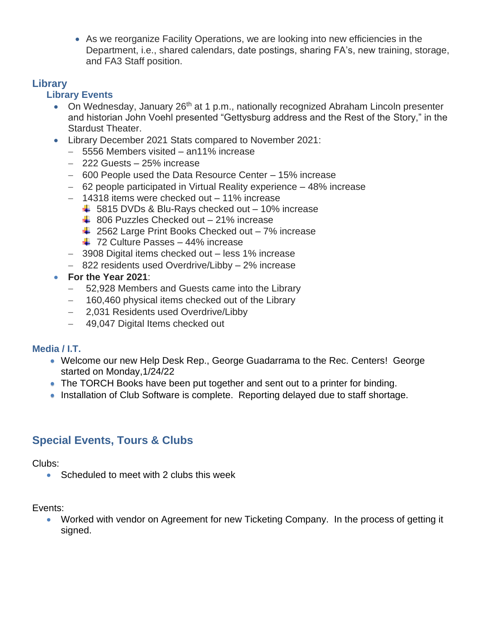• As we reorganize Facility Operations, we are looking into new efficiencies in the Department, i.e., shared calendars, date postings, sharing FA's, new training, storage, and FA3 Staff position.

# **Library**

# **Library Events**

- On Wednesday, January 26<sup>th</sup> at 1 p.m., nationally recognized Abraham Lincoln presenter and historian John Voehl presented "Gettysburg address and the Rest of the Story," in the Stardust Theater.
- Library December 2021 Stats compared to November 2021:
	- − 5556 Members visited an11% increase
	- − 222 Guests 25% increase
	- − 600 People used the Data Resource Center 15% increase
	- − 62 people participated in Virtual Reality experience 48% increase
	- − 14318 items were checked out 11% increase
		- $\div$  5815 DVDs & Blu-Rays checked out 10% increase
		- $\div$  806 Puzzles Checked out 21% increase
		- $\frac{1}{2562}$  Large Print Books Checked out 7% increase
		- $\div$  72 Culture Passes 44% increase
	- − 3908 Digital items checked out less 1% increase
	- − 822 residents used Overdrive/Libby 2% increase
- **For the Year 2021**:
	- − 52,928 Members and Guests came into the Library
	- − 160,460 physical items checked out of the Library
	- − 2,031 Residents used Overdrive/Libby
	- − 49,047 Digital Items checked out

# **Media / I.T.**

- Welcome our new Help Desk Rep., George Guadarrama to the Rec. Centers! George started on Monday,1/24/22
- The TORCH Books have been put together and sent out to a printer for binding.
- Installation of Club Software is complete. Reporting delayed due to staff shortage.

# **Special Events, Tours & Clubs**

Clubs:

• Scheduled to meet with 2 clubs this week

Events:

• Worked with vendor on Agreement for new Ticketing Company. In the process of getting it signed.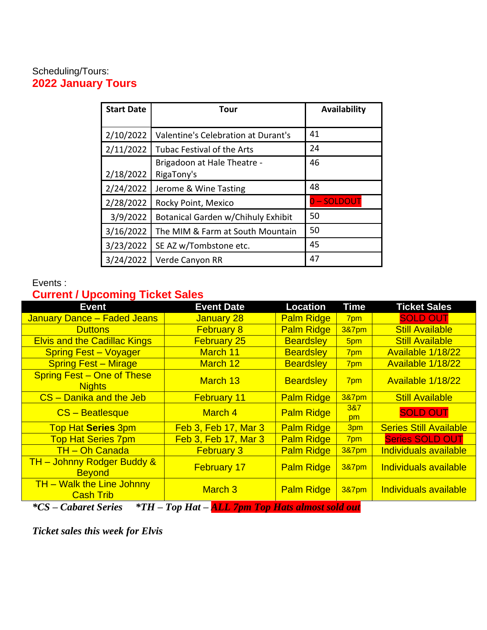# Scheduling/Tours: **2022 January Tours**

| <b>Start Date</b> | Tour                                | Availability |
|-------------------|-------------------------------------|--------------|
|                   |                                     |              |
| 2/10/2022         | Valentine's Celebration at Durant's | 41           |
| 2/11/2022         | Tubac Festival of the Arts          | 24           |
|                   | Brigadoon at Hale Theatre -         | 46           |
| 2/18/2022         | RigaTony's                          |              |
| 2/24/2022         | Jerome & Wine Tasting               | 48           |
| 2/28/2022         | Rocky Point, Mexico                 | 0-SOLDOUT    |
| 3/9/2022          | Botanical Garden w/Chihuly Exhibit  | 50           |
| 3/16/2022         | The MIM & Farm at South Mountain    | 50           |
| 3/23/2022         | SE AZ w/Tombstone etc.              | 45           |
| 3/24/2022         | Verde Canyon RR                     | 47           |

# Events :

# **Current / Upcoming Ticket Sales**

| <b>Event</b>                                                           | <b>Event Date</b>                                                                                                                                                                                 | <b>Location</b>   | <b>Time</b>      | <b>Ticket Sales</b>           |
|------------------------------------------------------------------------|---------------------------------------------------------------------------------------------------------------------------------------------------------------------------------------------------|-------------------|------------------|-------------------------------|
| <b>January Dance - Faded Jeans</b>                                     | January 28                                                                                                                                                                                        | <b>Palm Ridge</b> | 7pm              | <b>SOLD OUT</b>               |
| <b>Duttons</b>                                                         | <b>February 8</b>                                                                                                                                                                                 | <b>Palm Ridge</b> | 3&7pm            | <b>Still Available</b>        |
| <b>Elvis and the Cadillac Kings</b>                                    | <b>February 25</b>                                                                                                                                                                                | <b>Beardsley</b>  | 5pm              | <b>Still Available</b>        |
| <b>Spring Fest - Voyager</b>                                           | March 11                                                                                                                                                                                          | <b>Beardsley</b>  | 7pm              | Available 1/18/22             |
| <b>Spring Fest - Mirage</b>                                            | March 12                                                                                                                                                                                          | <b>Beardsley</b>  | 7pm              | Available 1/18/22             |
| <b>Spring Fest – One of These</b><br><b>Nights</b>                     | March 13                                                                                                                                                                                          | <b>Beardsley</b>  | 7pm              | Available 1/18/22             |
| CS - Danika and the Jeb                                                | <b>February 11</b>                                                                                                                                                                                | <b>Palm Ridge</b> | <b>3&amp;7pm</b> | <b>Still Available</b>        |
| CS - Beatlesque                                                        | March 4                                                                                                                                                                                           | <b>Palm Ridge</b> | 3&7<br>pm        | <b>SOLD OUT</b>               |
| <b>Top Hat Series 3pm</b>                                              | <b>Feb 3, Feb 17, Mar 3</b>                                                                                                                                                                       | <b>Palm Ridge</b> | 3pm              | <b>Series Still Available</b> |
| <b>Top Hat Series 7pm</b>                                              | Feb 3, Feb 17, Mar 3                                                                                                                                                                              | <b>Palm Ridge</b> | 7pm              | <b>Series SOLD OUT</b>        |
| <b>TH-Oh Canada</b>                                                    | <b>February 3</b>                                                                                                                                                                                 | <b>Palm Ridge</b> | <b>3&amp;7pm</b> | <b>Individuals available</b>  |
| <b>TH</b> - Johnny Rodger Buddy &<br><b>Beyond</b>                     | <b>February 17</b>                                                                                                                                                                                | <b>Palm Ridge</b> | <b>3&amp;7pm</b> | Individuals available         |
| <b>TH</b> - Walk the Line Johnny<br><b>Cash Trib</b>                   | March <sub>3</sub>                                                                                                                                                                                | <b>Palm Ridge</b> | <b>3&amp;7pm</b> | Individuals available         |
| $*$ TII<br>$*$ $\alpha$<br>$\mathcal{C}$ also and $\mathcal{C}$ and an | $T_{cm}$ $H_{st}$ $\rightarrow$ $H_{t}$ $\rightarrow$ $T_{t}$ $\rightarrow$ $T_{t}$ $\rightarrow$ $T_{t}$ $\rightarrow$ $T_{t}$ $\rightarrow$ $T_{t}$ $\rightarrow$ $T_{t}$ $\rightarrow$ $T_{t}$ |                   |                  |                               |

*\*CS – Cabaret Series \*TH – Top Hat – ALL 7pm Top Hats almost sold out*

*Ticket sales this week for Elvis*